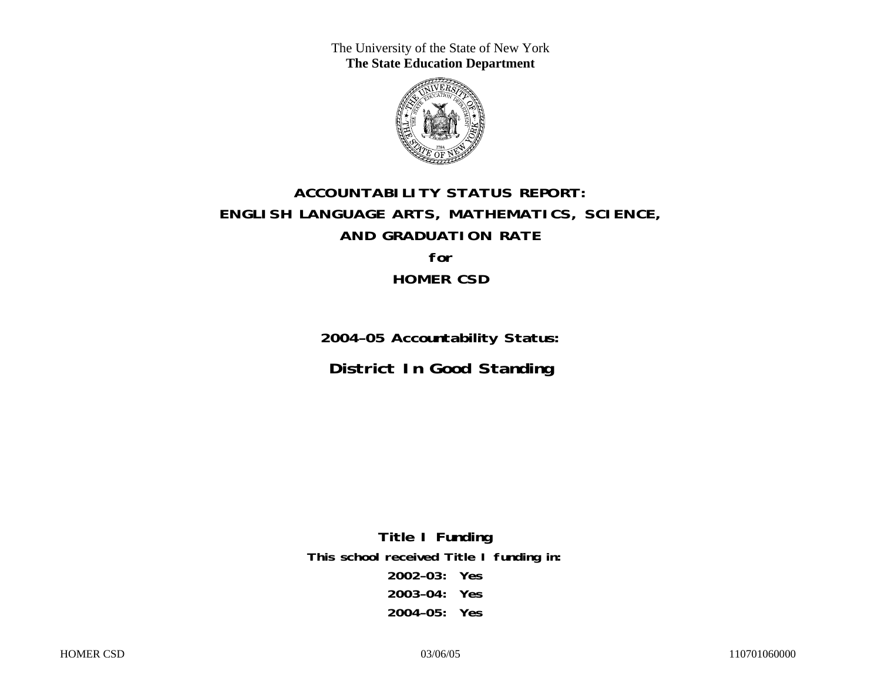The University of the State of New York **The State Education Department** 



# **ACCOUNTABILITY STATUS REPORT: ENGLISH LANGUAGE ARTS, MATHEMATICS, SCIENCE, AND GRADUATION RATE for HOMER CSD**

**2004–05 Accountability Status: District In Good Standing** 

**Title I Funding This school received Title I funding in: 2002–03: Yes 2003–04: Yes 2004–05: Yes**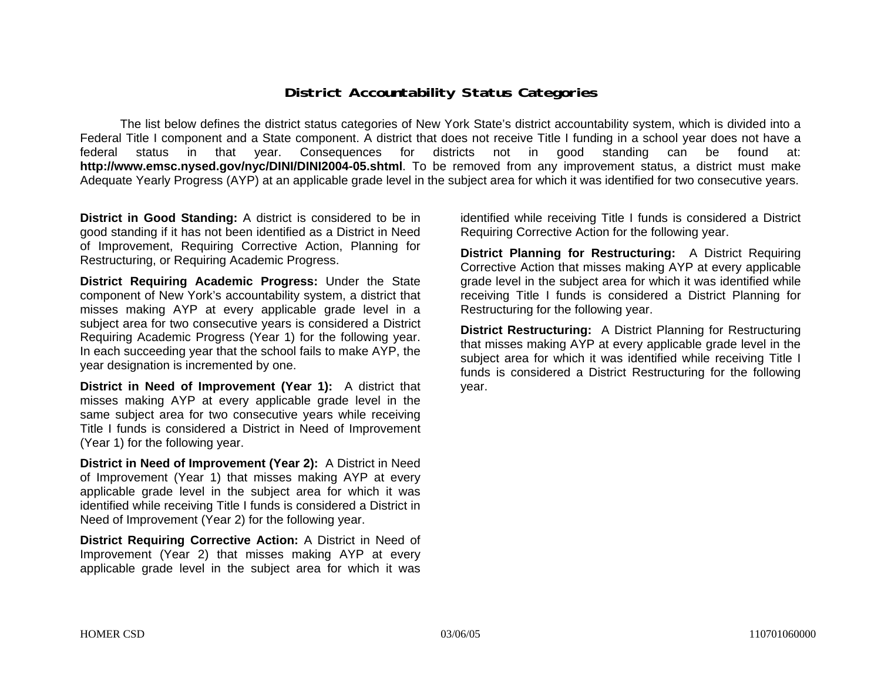### **District Accountability Status Categories**

The list below defines the district status categories of New York State's district accountability system, which is divided into a Federal Title I component and a State component. A district that does not receive Title I funding in a school year does not have a federal status in that year. Consequences for districts not in good standing can be found at: **http://www.emsc.nysed.gov/nyc/DINI/DINI2004-05.shtml**. To be removed from any improvement status, a district must make Adequate Yearly Progress (AYP) at an applicable grade level in the subject area for which it was identified for two consecutive years.

**District in Good Standing:** A district is considered to be in good standing if it has not been identified as a District in Need of Improvement, Requiring Corrective Action, Planning for Restructuring, or Requiring Academic Progress.

**District Requiring Academic Progress:** Under the State component of New York's accountability system, a district that misses making AYP at every applicable grade level in a subject area for two consecutive years is considered a District Requiring Academic Progress (Year 1) for the following year. In each succeeding year that the school fails to make AYP, the year designation is incremented by one.

**District in Need of Improvement (Year 1):** A district that misses making AYP at every applicable grade level in the same subject area for two consecutive years while receiving Title I funds is considered a District in Need of Improvement (Year 1) for the following year.

**District in Need of Improvement (Year 2):** A District in Need of Improvement (Year 1) that misses making AYP at every applicable grade level in the subject area for which it was identified while receiving Title I funds is considered a District in Need of Improvement (Year 2) for the following year.

**District Requiring Corrective Action:** A District in Need of Improvement (Year 2) that misses making AYP at every applicable grade level in the subject area for which it was

identified while receiving Title I funds is considered a District Requiring Corrective Action for the following year.

**District Planning for Restructuring:** A District Requiring Corrective Action that misses making AYP at every applicable grade level in the subject area for which it was identified while receiving Title I funds is considered a District Planning for Restructuring for the following year.

**District Restructuring:** A District Planning for Restructuring that misses making AYP at every applicable grade level in the subject area for which it was identified while receiving Title I funds is considered a District Restructuring for the following year.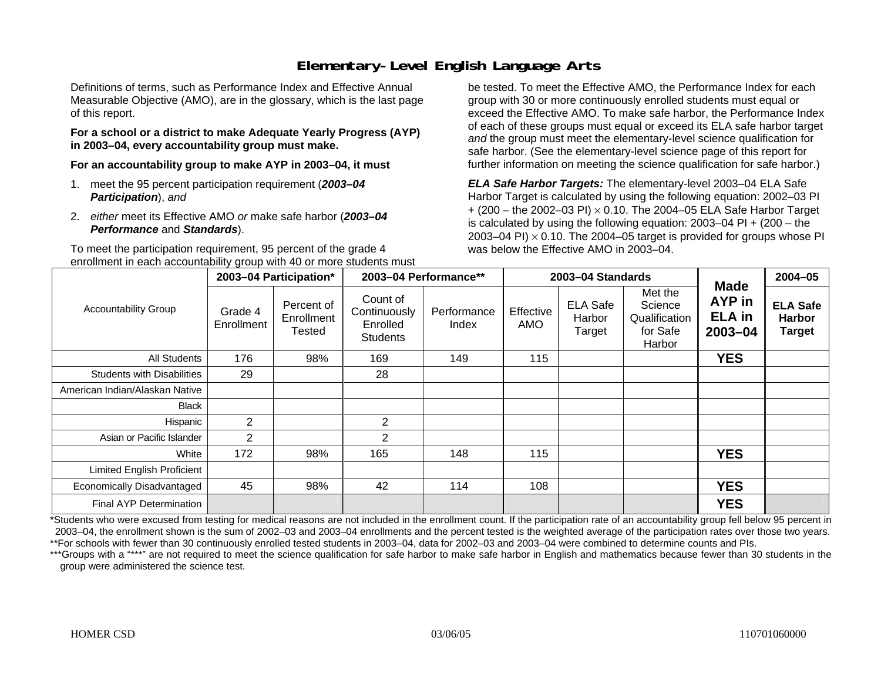### **Elementary-Level English Language Arts**

Definitions of terms, such as Performance Index and Effective Annual Measurable Objective (AMO), are in the glossary, which is the last page of this report.

#### **For a school or a district to make Adequate Yearly Progress (AYP) in 2003–04, every accountability group must make.**

**For an accountability group to make AYP in 2003–04, it must** 

- 1. meet the 95 percent participation requirement (*2003–04 Participation*), *and*
- 2. *either* meet its Effective AMO *or* make safe harbor (*2003–04 Performance* and *Standards*).

To meet the participation requirement, 95 percent of the grade 4 enrollment in each accountability group with 40 or more students must

be tested. To meet the Effective AMO, the Performance Index for each group with 30 or more continuously enrolled students must equal or exceed the Effective AMO. To make safe harbor, the Performance Index of each of these groups must equal or exceed its ELA safe harbor target *and* the group must meet the elementary-level science qualification for safe harbor. (See the elementary-level science page of this report for further information on meeting the science qualification for safe harbor.)

*ELA Safe Harbor Targets:* The elementary-level 2003–04 ELA Safe Harbor Target is calculated by using the following equation: 2002–03 PI + (200 – the 2002–03 PI) <sup>×</sup> 0.10. The 2004–05 ELA Safe Harbor Target is calculated by using the following equation: 2003–04 PI + (200 – the 2003–04 PI)  $\times$  0.10. The 2004–05 target is provided for groups whose PI was below the Effective AMO in 2003–04.

|                                   |                       | 2003-04 Participation*             |                                                         | 2003-04 Performance** |                  | 2003-04 Standards                   |                                                           | <b>Made</b>                                   | 2004-05                                           |
|-----------------------------------|-----------------------|------------------------------------|---------------------------------------------------------|-----------------------|------------------|-------------------------------------|-----------------------------------------------------------|-----------------------------------------------|---------------------------------------------------|
| <b>Accountability Group</b>       | Grade 4<br>Enrollment | Percent of<br>Enrollment<br>Tested | Count of<br>Continuously<br>Enrolled<br><b>Students</b> | Performance<br>Index  | Effective<br>AMO | <b>ELA Safe</b><br>Harbor<br>Target | Met the<br>Science<br>Qualification<br>for Safe<br>Harbor | <b>AYP</b> in<br><b>ELA in</b><br>$2003 - 04$ | <b>ELA Safe</b><br><b>Harbor</b><br><b>Target</b> |
| All Students                      | 176                   | 98%                                | 169                                                     | 149                   | 115              |                                     |                                                           | <b>YES</b>                                    |                                                   |
| <b>Students with Disabilities</b> | 29                    |                                    | 28                                                      |                       |                  |                                     |                                                           |                                               |                                                   |
| American Indian/Alaskan Native    |                       |                                    |                                                         |                       |                  |                                     |                                                           |                                               |                                                   |
| Black                             |                       |                                    |                                                         |                       |                  |                                     |                                                           |                                               |                                                   |
| Hispanic                          | 2                     |                                    | $\overline{2}$                                          |                       |                  |                                     |                                                           |                                               |                                                   |
| Asian or Pacific Islander         | $\overline{2}$        |                                    | $\overline{2}$                                          |                       |                  |                                     |                                                           |                                               |                                                   |
| White                             | 172                   | 98%                                | 165                                                     | 148                   | 115              |                                     |                                                           | <b>YES</b>                                    |                                                   |
| <b>Limited English Proficient</b> |                       |                                    |                                                         |                       |                  |                                     |                                                           |                                               |                                                   |
| Economically Disadvantaged        | 45                    | 98%                                | 42                                                      | 114                   | 108              |                                     |                                                           | <b>YES</b>                                    |                                                   |
| <b>Final AYP Determination</b>    |                       |                                    |                                                         |                       |                  |                                     |                                                           | <b>YES</b>                                    |                                                   |

\*Students who were excused from testing for medical reasons are not included in the enrollment count. If the participation rate of an accountability group fell below 95 percent in 2003–04, the enrollment shown is the sum of 2002–03 and 2003–04 enrollments and the percent tested is the weighted average of the participation rates over those two years. \*\*For schools with fewer than 30 continuously enrolled tested students in 2003–04, data for 2002–03 and 2003–04 were combined to determine counts and PIs.

\*\*\*Groups with a "\*\*\*" are not required to meet the science qualification for safe harbor to make safe harbor in English and mathematics because fewer than 30 students in the group were administered the science test.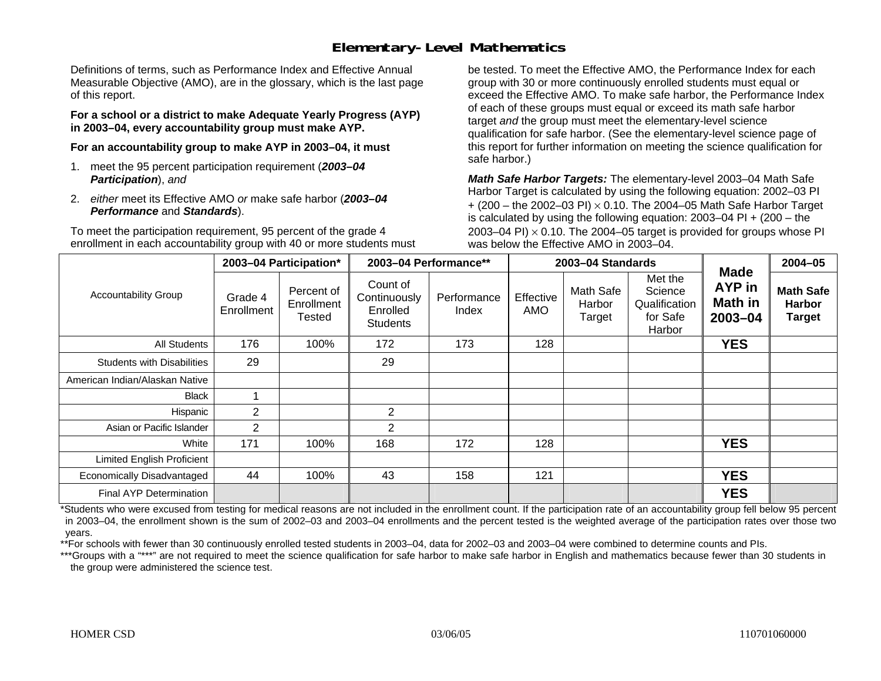### **Elementary-Level Mathematics**

Definitions of terms, such as Performance Index and Effective Annual Measurable Objective (AMO), are in the glossary, which is the last page of this report.

**For a school or a district to make Adequate Yearly Progress (AYP) in 2003–04, every accountability group must make AYP.** 

**For an accountability group to make AYP in 2003–04, it must** 

- 1. meet the 95 percent participation requirement (*2003–04 Participation*), *and*
- 2. *either* meet its Effective AMO *or* make safe harbor (*2003–04 Performance* and *Standards*).

To meet the participation requirement, 95 percent of the grade 4 enrollment in each accountability group with 40 or more students must be tested. To meet the Effective AMO, the Performance Index for each group with 30 or more continuously enrolled students must equal or exceed the Effective AMO. To make safe harbor, the Performance Index of each of these groups must equal or exceed its math safe harbor target *and* the group must meet the elementary-level science qualification for safe harbor. (See the elementary-level science page of this report for further information on meeting the science qualification for safe harbor.)

*Math Safe Harbor Targets:* The elementary-level 2003–04 Math Safe Harbor Target is calculated by using the following equation: 2002–03 PI + (200 – the 2002–03 PI) <sup>×</sup> 0.10. The 2004–05 Math Safe Harbor Target is calculated by using the following equation: 2003–04 PI + (200 – the 2003–04 PI)  $\times$  0.10. The 2004–05 target is provided for groups whose PI was below the Effective AMO in 2003–04.

|                                   |                       | 2003-04 Participation*                    |                                                         | 2003-04 Performance** |                  | 2003-04 Standards             |                                                           | <b>Made</b>                      | $2004 - 05$                                        |
|-----------------------------------|-----------------------|-------------------------------------------|---------------------------------------------------------|-----------------------|------------------|-------------------------------|-----------------------------------------------------------|----------------------------------|----------------------------------------------------|
| <b>Accountability Group</b>       | Grade 4<br>Enrollment | Percent of<br>Enrollment<br><b>Tested</b> | Count of<br>Continuously<br>Enrolled<br><b>Students</b> | Performance<br>Index  | Effective<br>AMO | Math Safe<br>Harbor<br>Target | Met the<br>Science<br>Qualification<br>for Safe<br>Harbor | AYP in<br>Math in<br>$2003 - 04$ | <b>Math Safe</b><br><b>Harbor</b><br><b>Target</b> |
| All Students                      | 176                   | 100%                                      | 172                                                     | 173                   | 128              |                               |                                                           | <b>YES</b>                       |                                                    |
| <b>Students with Disabilities</b> | 29                    |                                           | 29                                                      |                       |                  |                               |                                                           |                                  |                                                    |
| American Indian/Alaskan Native    |                       |                                           |                                                         |                       |                  |                               |                                                           |                                  |                                                    |
| Black                             | ٠                     |                                           |                                                         |                       |                  |                               |                                                           |                                  |                                                    |
| Hispanic                          | $\overline{c}$        |                                           | $\overline{2}$                                          |                       |                  |                               |                                                           |                                  |                                                    |
| Asian or Pacific Islander         | $\overline{2}$        |                                           | $\overline{2}$                                          |                       |                  |                               |                                                           |                                  |                                                    |
| White                             | 171                   | 100%                                      | 168                                                     | 172                   | 128              |                               |                                                           | <b>YES</b>                       |                                                    |
| <b>Limited English Proficient</b> |                       |                                           |                                                         |                       |                  |                               |                                                           |                                  |                                                    |
| Economically Disadvantaged        | 44                    | 100%                                      | 43                                                      | 158                   | 121              |                               |                                                           | <b>YES</b>                       |                                                    |
| Final AYP Determination           |                       |                                           |                                                         |                       |                  |                               |                                                           | <b>YES</b>                       |                                                    |

\*Students who were excused from testing for medical reasons are not included in the enrollment count. If the participation rate of an accountability group fell below 95 percent in 2003–04, the enrollment shown is the sum of 2002–03 and 2003–04 enrollments and the percent tested is the weighted average of the participation rates over those two years.

\*\*For schools with fewer than 30 continuously enrolled tested students in 2003–04, data for 2002–03 and 2003–04 were combined to determine counts and PIs.

\*\*\*Groups with a "\*\*\*" are not required to meet the science qualification for safe harbor to make safe harbor in English and mathematics because fewer than 30 students in the group were administered the science test.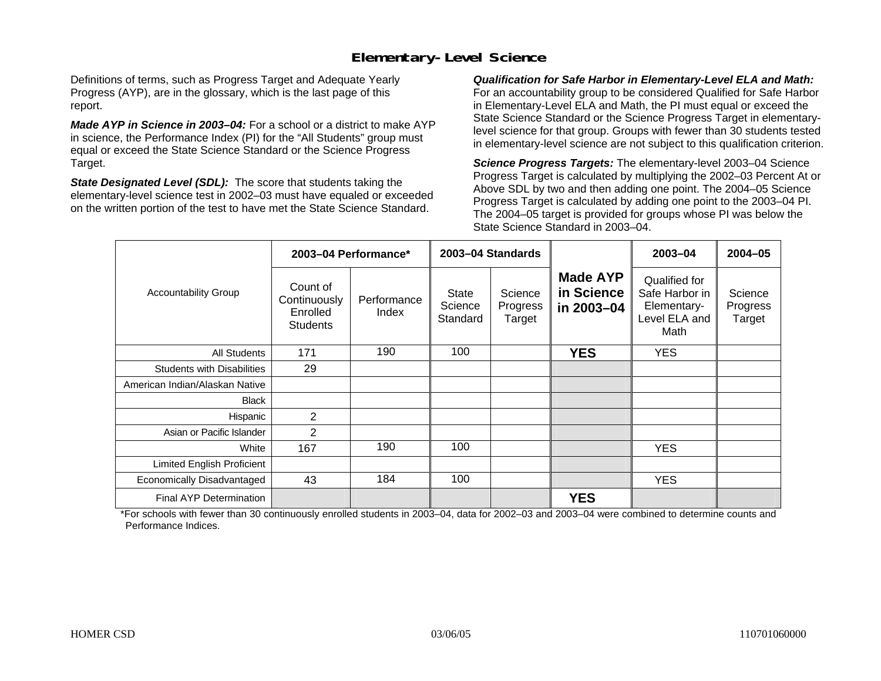## **Elementary-Level Science**

Definitions of terms, such as Progress Target and Adequate Yearly Progress (AYP), are in the glossary, which is the last page of this report.

*Made AYP in Science in 2003–04:* For a school or a district to make AYP in science, the Performance Index (PI) for the "All Students" group must equal or exceed the State Science Standard or the Science Progress Target.

*State Designated Level (SDL):* The score that students taking the elementary-level science test in 2002–03 must have equaled or exceeded on the written portion of the test to have met the State Science Standard.

*Qualification for Safe Harbor in Elementary-Level ELA and Math:* For an accountability group to be considered Qualified for Safe Harbor in Elementary-Level ELA and Math, the PI must equal or exceed the State Science Standard or the Science Progress Target in elementarylevel science for that group. Groups with fewer than 30 students tested in elementary-level science are not subject to this qualification criterion.

*Science Progress Targets:* The elementary-level 2003–04 Science Progress Target is calculated by multiplying the 2002–03 Percent At or Above SDL by two and then adding one point. The 2004–05 Science Progress Target is calculated by adding one point to the 2003–04 PI. The 2004–05 target is provided for groups whose PI was below the State Science Standard in 2003–04.

|                                   |                                                         | 2003-04 Performance* |                                     | 2003-04 Standards             |                                             | 2003-04                                                                 | $2004 - 05$                   |
|-----------------------------------|---------------------------------------------------------|----------------------|-------------------------------------|-------------------------------|---------------------------------------------|-------------------------------------------------------------------------|-------------------------------|
| <b>Accountability Group</b>       | Count of<br>Continuously<br>Enrolled<br><b>Students</b> | Performance<br>Index | <b>State</b><br>Science<br>Standard | Science<br>Progress<br>Target | <b>Made AYP</b><br>in Science<br>in 2003-04 | Qualified for<br>Safe Harbor in<br>Elementary-<br>Level ELA and<br>Math | Science<br>Progress<br>Target |
| All Students                      | 171                                                     | 190                  | 100                                 |                               | <b>YES</b>                                  | <b>YES</b>                                                              |                               |
| <b>Students with Disabilities</b> | 29                                                      |                      |                                     |                               |                                             |                                                                         |                               |
| American Indian/Alaskan Native    |                                                         |                      |                                     |                               |                                             |                                                                         |                               |
| <b>Black</b>                      |                                                         |                      |                                     |                               |                                             |                                                                         |                               |
| Hispanic                          | 2                                                       |                      |                                     |                               |                                             |                                                                         |                               |
| Asian or Pacific Islander         | $\overline{2}$                                          |                      |                                     |                               |                                             |                                                                         |                               |
| White                             | 167                                                     | 190                  | 100                                 |                               |                                             | <b>YES</b>                                                              |                               |
| Limited English Proficient        |                                                         |                      |                                     |                               |                                             |                                                                         |                               |
| Economically Disadvantaged        | 43                                                      | 184                  | 100                                 |                               |                                             | <b>YES</b>                                                              |                               |
| Final AYP Determination           |                                                         |                      |                                     |                               | <b>YES</b>                                  |                                                                         |                               |

\*For schools with fewer than 30 continuously enrolled students in 2003–04, data for 2002–03 and 2003–04 were combined to determine counts and Performance Indices.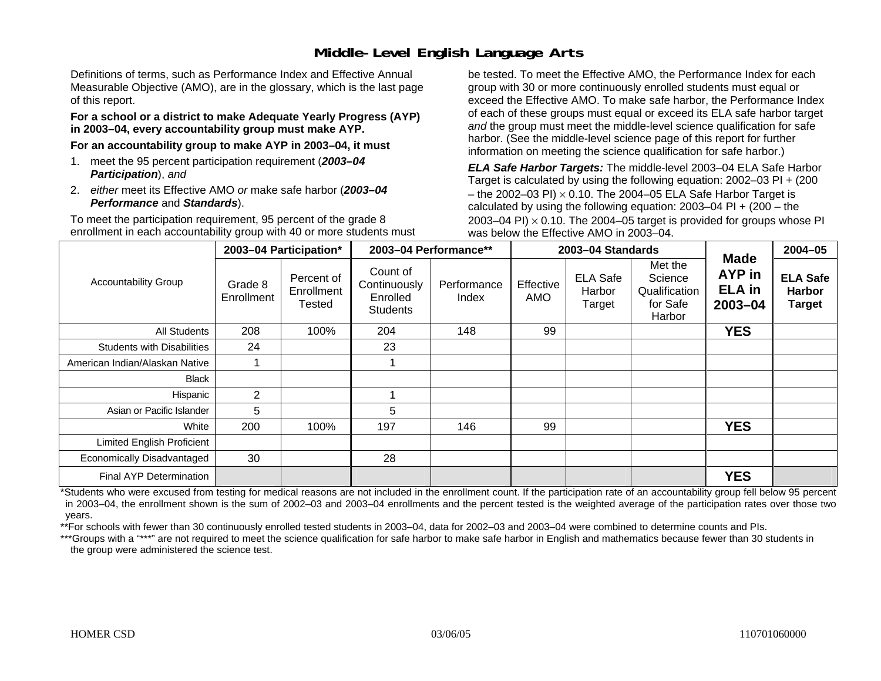## **Middle-Level English Language Arts**

Definitions of terms, such as Performance Index and Effective Annual Measurable Objective (AMO), are in the glossary, which is the last page of this report.

#### **For a school or a district to make Adequate Yearly Progress (AYP) in 2003–04, every accountability group must make AYP.**

**For an accountability group to make AYP in 2003–04, it must** 

- 1. meet the 95 percent participation requirement (*2003–04 Participation*), *and*
- 2. *either* meet its Effective AMO *or* make safe harbor (*2003–04 Performance* and *Standards*).

To meet the participation requirement, 95 percent of the grade 8 enrollment in each accountability group with 40 or more students must be tested. To meet the Effective AMO, the Performance Index for each group with 30 or more continuously enrolled students must equal or exceed the Effective AMO. To make safe harbor, the Performance Index of each of these groups must equal or exceed its ELA safe harbor target *and* the group must meet the middle-level science qualification for safe harbor. (See the middle-level science page of this report for further information on meeting the science qualification for safe harbor.)

*ELA Safe Harbor Targets:* The middle-level 2003–04 ELA Safe Harbor Target is calculated by using the following equation: 2002–03 PI + (200 – the 2002–03 PI)  $\times$  0.10. The 2004–05 ELA Safe Harbor Target is calculated by using the following equation:  $2003-04$  PI +  $(200 -$ the 2003–04 PI)  $\times$  0.10. The 2004–05 target is provided for groups whose PI was below the Effective AMO in 2003–04.

|                                   |                       | 2003-04 Participation*             |                                                         | 2003-04 Performance** |                  | 2003-04 Standards                   |                                                           | <b>Made</b>                            | $2004 - 05$                                       |
|-----------------------------------|-----------------------|------------------------------------|---------------------------------------------------------|-----------------------|------------------|-------------------------------------|-----------------------------------------------------------|----------------------------------------|---------------------------------------------------|
| <b>Accountability Group</b>       | Grade 8<br>Enrollment | Percent of<br>Enrollment<br>Tested | Count of<br>Continuously<br>Enrolled<br><b>Students</b> | Performance<br>Index  | Effective<br>AMO | <b>ELA Safe</b><br>Harbor<br>Target | Met the<br>Science<br>Qualification<br>for Safe<br>Harbor | AYP in<br><b>ELA in</b><br>$2003 - 04$ | <b>ELA Safe</b><br><b>Harbor</b><br><b>Target</b> |
| <b>All Students</b>               | 208                   | 100%                               | 204                                                     | 148                   | 99               |                                     |                                                           | <b>YES</b>                             |                                                   |
| <b>Students with Disabilities</b> | 24                    |                                    | 23                                                      |                       |                  |                                     |                                                           |                                        |                                                   |
| American Indian/Alaskan Native    |                       |                                    |                                                         |                       |                  |                                     |                                                           |                                        |                                                   |
| <b>Black</b>                      |                       |                                    |                                                         |                       |                  |                                     |                                                           |                                        |                                                   |
| Hispanic                          | $\overline{2}$        |                                    |                                                         |                       |                  |                                     |                                                           |                                        |                                                   |
| Asian or Pacific Islander         | 5                     |                                    | 5                                                       |                       |                  |                                     |                                                           |                                        |                                                   |
| White                             | 200                   | 100%                               | 197                                                     | 146                   | 99               |                                     |                                                           | <b>YES</b>                             |                                                   |
| <b>Limited English Proficient</b> |                       |                                    |                                                         |                       |                  |                                     |                                                           |                                        |                                                   |
| Economically Disadvantaged        | 30                    |                                    | 28                                                      |                       |                  |                                     |                                                           |                                        |                                                   |
| <b>Final AYP Determination</b>    |                       |                                    |                                                         |                       |                  |                                     |                                                           | <b>YES</b>                             |                                                   |

\*Students who were excused from testing for medical reasons are not included in the enrollment count. If the participation rate of an accountability group fell below 95 percent in 2003–04, the enrollment shown is the sum of 2002–03 and 2003–04 enrollments and the percent tested is the weighted average of the participation rates over those two years.

\*\*For schools with fewer than 30 continuously enrolled tested students in 2003–04, data for 2002–03 and 2003–04 were combined to determine counts and PIs.

\*\*\*Groups with a "\*\*\*" are not required to meet the science qualification for safe harbor to make safe harbor in English and mathematics because fewer than 30 students in the group were administered the science test.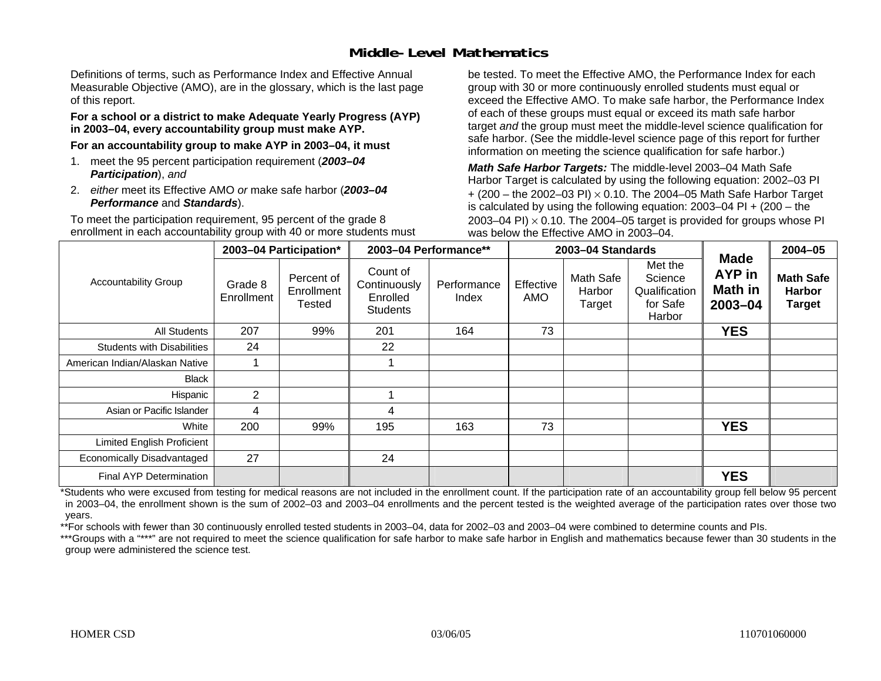### **Middle-Level Mathematics**

Definitions of terms, such as Performance Index and Effective Annual Measurable Objective (AMO), are in the glossary, which is the last page of this report.

#### **For a school or a district to make Adequate Yearly Progress (AYP) in 2003–04, every accountability group must make AYP.**

**For an accountability group to make AYP in 2003–04, it must** 

- 1. meet the 95 percent participation requirement (*2003–04 Participation*), *and*
- 2. *either* meet its Effective AMO *or* make safe harbor (*2003–04 Performance* and *Standards*).

To meet the participation requirement, 95 percent of the grade 8 enrollment in each accountability group with 40 or more students must be tested. To meet the Effective AMO, the Performance Index for each group with 30 or more continuously enrolled students must equal or exceed the Effective AMO. To make safe harbor, the Performance Index of each of these groups must equal or exceed its math safe harbor target *and* the group must meet the middle-level science qualification for safe harbor. (See the middle-level science page of this report for further information on meeting the science qualification for safe harbor.)

*Math Safe Harbor Targets:* The middle-level 2003–04 Math Safe Harbor Target is calculated by using the following equation: 2002–03 PI + (200 – the 2002–03 PI) <sup>×</sup> 0.10. The 2004–05 Math Safe Harbor Target is calculated by using the following equation: 2003–04 PI + (200 – the 2003–04 PI)  $\times$  0.10. The 2004–05 target is provided for groups whose PI was below the Effective AMO in 2003–04.

|                                   |                       | 2003-04 Participation*             |                                                         | 2003-04 Performance** |                  | 2003-04 Standards             |                                                           |                                             | $2004 - 05$                                        |
|-----------------------------------|-----------------------|------------------------------------|---------------------------------------------------------|-----------------------|------------------|-------------------------------|-----------------------------------------------------------|---------------------------------------------|----------------------------------------------------|
| <b>Accountability Group</b>       | Grade 8<br>Enrollment | Percent of<br>Enrollment<br>Tested | Count of<br>Continuously<br>Enrolled<br><b>Students</b> | Performance<br>Index  | Effective<br>AMO | Math Safe<br>Harbor<br>Target | Met the<br>Science<br>Qualification<br>for Safe<br>Harbor | <b>Made</b><br>AYP in<br>Math in<br>2003-04 | <b>Math Safe</b><br><b>Harbor</b><br><b>Target</b> |
| All Students                      | 207                   | 99%                                | 201                                                     | 164                   | 73               |                               |                                                           | <b>YES</b>                                  |                                                    |
| <b>Students with Disabilities</b> | 24                    |                                    | 22                                                      |                       |                  |                               |                                                           |                                             |                                                    |
| American Indian/Alaskan Native    |                       |                                    |                                                         |                       |                  |                               |                                                           |                                             |                                                    |
| Black                             |                       |                                    |                                                         |                       |                  |                               |                                                           |                                             |                                                    |
| Hispanic                          | $\overline{2}$        |                                    |                                                         |                       |                  |                               |                                                           |                                             |                                                    |
| Asian or Pacific Islander         | 4                     |                                    | 4                                                       |                       |                  |                               |                                                           |                                             |                                                    |
| White                             | 200                   | 99%                                | 195                                                     | 163                   | 73               |                               |                                                           | <b>YES</b>                                  |                                                    |
| <b>Limited English Proficient</b> |                       |                                    |                                                         |                       |                  |                               |                                                           |                                             |                                                    |
| Economically Disadvantaged        | 27                    |                                    | 24                                                      |                       |                  |                               |                                                           |                                             |                                                    |
| <b>Final AYP Determination</b>    |                       |                                    |                                                         |                       |                  |                               |                                                           | <b>YES</b>                                  |                                                    |

\*Students who were excused from testing for medical reasons are not included in the enrollment count. If the participation rate of an accountability group fell below 95 percent in 2003–04, the enrollment shown is the sum of 2002–03 and 2003–04 enrollments and the percent tested is the weighted average of the participation rates over those two years.

\*\*For schools with fewer than 30 continuously enrolled tested students in 2003–04, data for 2002–03 and 2003–04 were combined to determine counts and PIs.

\*\*\*Groups with a "\*\*\*" are not required to meet the science qualification for safe harbor to make safe harbor in English and mathematics because fewer than 30 students in the group were administered the science test.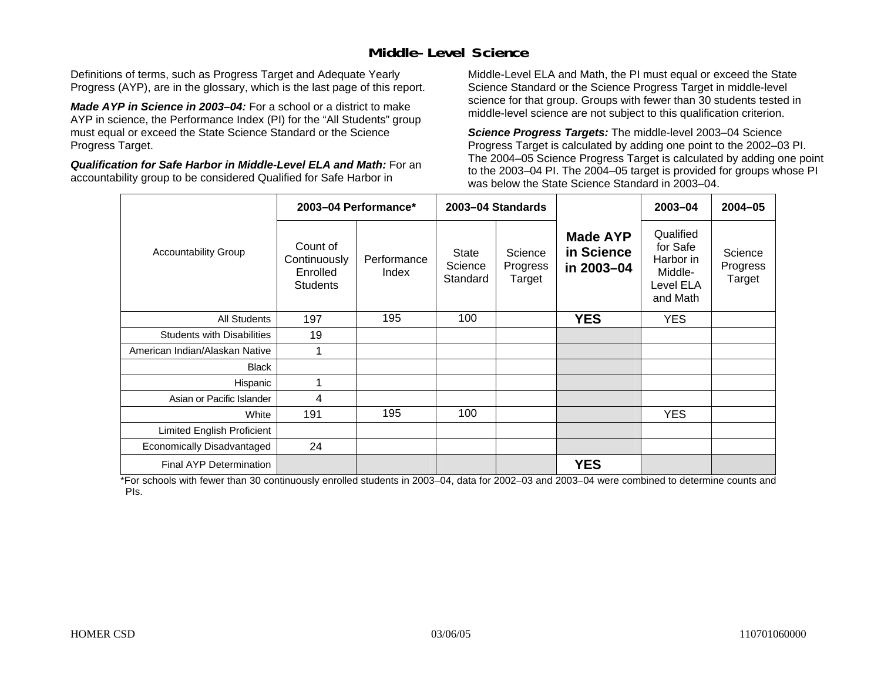## **Middle-Level Science**

Definitions of terms, such as Progress Target and Adequate Yearly Progress (AYP), are in the glossary, which is the last page of this report.

*Made AYP in Science in 2003–04:* For a school or a district to make AYP in science, the Performance Index (PI) for the "All Students" group must equal or exceed the State Science Standard or the Science Progress Target.

*Qualification for Safe Harbor in Middle-Level ELA and Math:* For an accountability group to be considered Qualified for Safe Harbor in

Middle-Level ELA and Math, the PI must equal or exceed the State Science Standard or the Science Progress Target in middle-level science for that group. Groups with fewer than 30 students tested in middle-level science are not subject to this qualification criterion.

*Science Progress Targets:* The middle-level 2003–04 Science Progress Target is calculated by adding one point to the 2002–03 PI. The 2004–05 Science Progress Target is calculated by adding one point to the 2003–04 PI. The 2004–05 target is provided for groups whose PI was below the State Science Standard in 2003–04.

|                                   |                                                         | 2003-04 Performance* |                              | 2003-04 Standards             |                                             | 2003-04                                                                | $2004 - 05$                   |
|-----------------------------------|---------------------------------------------------------|----------------------|------------------------------|-------------------------------|---------------------------------------------|------------------------------------------------------------------------|-------------------------------|
| <b>Accountability Group</b>       | Count of<br>Continuously<br>Enrolled<br><b>Students</b> | Performance<br>Index | State<br>Science<br>Standard | Science<br>Progress<br>Target | <b>Made AYP</b><br>in Science<br>in 2003-04 | Qualified<br>for Safe<br>Harbor in<br>Middle-<br>Level ELA<br>and Math | Science<br>Progress<br>Target |
| <b>All Students</b>               | 197                                                     | 195                  | 100                          |                               | <b>YES</b>                                  | <b>YES</b>                                                             |                               |
| <b>Students with Disabilities</b> | 19                                                      |                      |                              |                               |                                             |                                                                        |                               |
| American Indian/Alaskan Native    | 1                                                       |                      |                              |                               |                                             |                                                                        |                               |
| <b>Black</b>                      |                                                         |                      |                              |                               |                                             |                                                                        |                               |
| Hispanic                          | 1                                                       |                      |                              |                               |                                             |                                                                        |                               |
| Asian or Pacific Islander         | 4                                                       |                      |                              |                               |                                             |                                                                        |                               |
| White                             | 191                                                     | 195                  | 100                          |                               |                                             | <b>YES</b>                                                             |                               |
| Limited English Proficient        |                                                         |                      |                              |                               |                                             |                                                                        |                               |
| Economically Disadvantaged        | 24                                                      |                      |                              |                               |                                             |                                                                        |                               |
| Final AYP Determination           |                                                         |                      |                              |                               | <b>YES</b>                                  |                                                                        |                               |

\*For schools with fewer than 30 continuously enrolled students in 2003–04, data for 2002–03 and 2003–04 were combined to determine counts and PIs.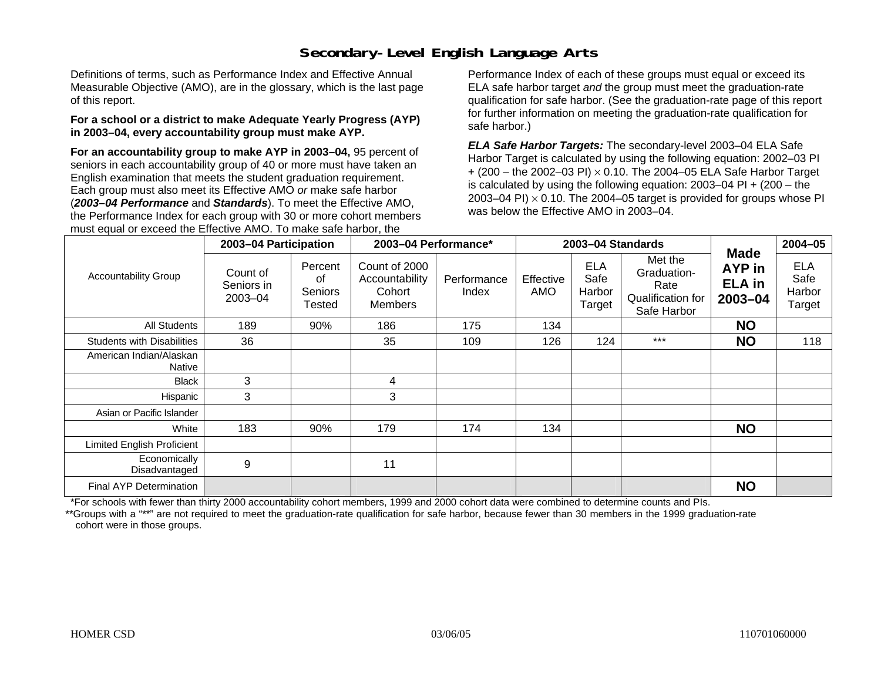## **Secondary-Level English Language Arts**

Definitions of terms, such as Performance Index and Effective Annual Measurable Objective (AMO), are in the glossary, which is the last page of this report.

#### **For a school or a district to make Adequate Yearly Progress (AYP) in 2003–04, every accountability group must make AYP.**

**For an accountability group to make AYP in 2003–04,** 95 percent of seniors in each accountability group of 40 or more must have taken an English examination that meets the student graduation requirement. Each group must also meet its Effective AMO *or* make safe harbor (*2003–04 Performance* and *Standards*). To meet the Effective AMO, the Performance Index for each group with 30 or more cohort members must equal or exceed the Effective AMO. To make safe harbor, the

Performance Index of each of these groups must equal or exceed its ELA safe harbor target *and* the group must meet the graduation-rate qualification for safe harbor. (See the graduation-rate page of this report for further information on meeting the graduation-rate qualification for safe harbor.)

*ELA Safe Harbor Targets:* The secondary-level 2003–04 ELA Safe Harbor Target is calculated by using the following equation: 2002–03 PI + (200 – the 2002–03 PI) <sup>×</sup> 0.10. The 2004–05 ELA Safe Harbor Target is calculated by using the following equation: 2003–04 PI + (200 – the 2003–04 PI)  $\times$  0.10. The 2004–05 target is provided for groups whose PI was below the Effective AMO in 2003–04.

|                                   | 2003-04 Participation             |                                           | 2003-04 Performance*                                        |                      |                  | 2003-04 Standards                      |                                                                    |                                                   | $2004 - 05$                            |
|-----------------------------------|-----------------------------------|-------------------------------------------|-------------------------------------------------------------|----------------------|------------------|----------------------------------------|--------------------------------------------------------------------|---------------------------------------------------|----------------------------------------|
| <b>Accountability Group</b>       | Count of<br>Seniors in<br>2003-04 | Percent<br>οf<br><b>Seniors</b><br>Tested | Count of 2000<br>Accountability<br>Cohort<br><b>Members</b> | Performance<br>Index | Effective<br>AMO | <b>ELA</b><br>Safe<br>Harbor<br>Target | Met the<br>Graduation-<br>Rate<br>Qualification for<br>Safe Harbor | <b>Made</b><br>AYP in<br><b>ELA</b> in<br>2003-04 | <b>ELA</b><br>Safe<br>Harbor<br>Target |
| <b>All Students</b>               | 189                               | 90%                                       | 186                                                         | 175                  | 134              |                                        |                                                                    | <b>NO</b>                                         |                                        |
| <b>Students with Disabilities</b> | 36                                |                                           | 35                                                          | 109                  | 126              | 124                                    | $***$                                                              | <b>NO</b>                                         | 118                                    |
| American Indian/Alaskan<br>Native |                                   |                                           |                                                             |                      |                  |                                        |                                                                    |                                                   |                                        |
| <b>Black</b>                      | 3                                 |                                           | 4                                                           |                      |                  |                                        |                                                                    |                                                   |                                        |
| Hispanic                          | 3                                 |                                           | 3                                                           |                      |                  |                                        |                                                                    |                                                   |                                        |
| Asian or Pacific Islander         |                                   |                                           |                                                             |                      |                  |                                        |                                                                    |                                                   |                                        |
| White                             | 183                               | 90%                                       | 179                                                         | 174                  | 134              |                                        |                                                                    | <b>NO</b>                                         |                                        |
| <b>Limited English Proficient</b> |                                   |                                           |                                                             |                      |                  |                                        |                                                                    |                                                   |                                        |
| Economically<br>Disadvantaged     | 9                                 |                                           | 11                                                          |                      |                  |                                        |                                                                    |                                                   |                                        |
| Final AYP Determination           |                                   |                                           |                                                             |                      |                  |                                        |                                                                    | <b>NO</b>                                         |                                        |

\*For schools with fewer than thirty 2000 accountability cohort members, 1999 and 2000 cohort data were combined to determine counts and PIs.

\*\*Groups with a "\*\*" are not required to meet the graduation-rate qualification for safe harbor, because fewer than 30 members in the 1999 graduation-rate cohort were in those groups.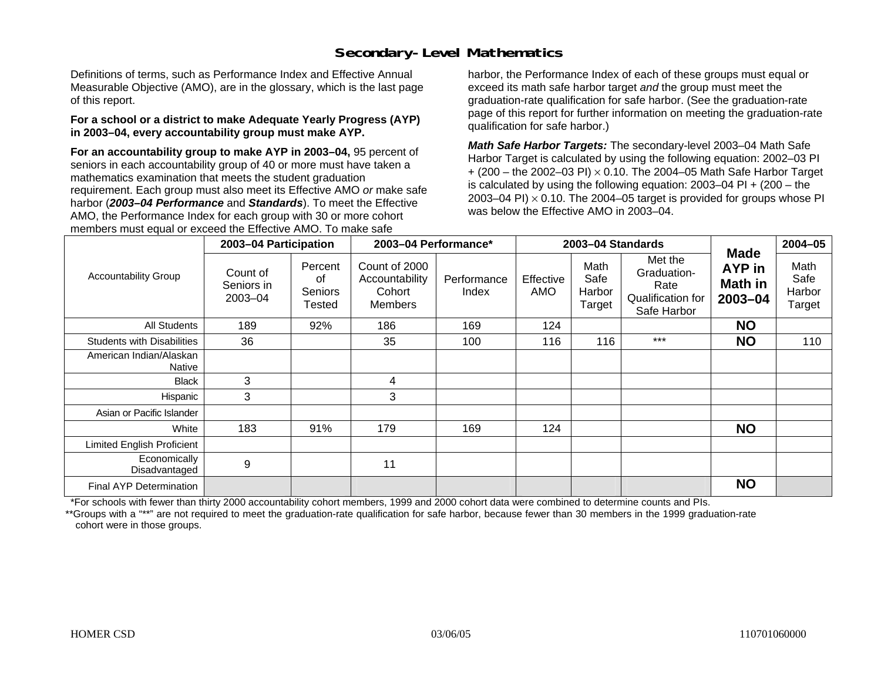## **Secondary-Level Mathematics**

Definitions of terms, such as Performance Index and Effective Annual Measurable Objective (AMO), are in the glossary, which is the last page of this report.

#### **For a school or a district to make Adequate Yearly Progress (AYP) in 2003–04, every accountability group must make AYP.**

**For an accountability group to make AYP in 2003–04,** 95 percent of seniors in each accountability group of 40 or more must have taken a mathematics examination that meets the student graduation requirement. Each group must also meet its Effective AMO *or* make safe harbor (*2003–04 Performance* and *Standards*). To meet the Effective AMO, the Performance Index for each group with 30 or more cohort members must equal or exceed the Effective AMO. To make safe

harbor, the Performance Index of each of these groups must equal or exceed its math safe harbor target *and* the group must meet the graduation-rate qualification for safe harbor. (See the graduation-rate page of this report for further information on meeting the graduation-rate qualification for safe harbor.)

*Math Safe Harbor Targets:* The secondary-level 2003–04 Math Safe Harbor Target is calculated by using the following equation: 2002–03 PI + (200 – the 2002–03 PI) <sup>×</sup> 0.10. The 2004–05 Math Safe Harbor Target is calculated by using the following equation: 2003–04 PI + (200 – the 2003–04 PI)  $\times$  0.10. The 2004–05 target is provided for groups whose PI was below the Effective AMO in 2003–04.

|                                   | 2003-04 Participation             |                                    | 2003-04 Performance*                                        |                      |                  | 2003-04 Standards                |                                                                    |                                                    | $2004 - 05$                      |
|-----------------------------------|-----------------------------------|------------------------------------|-------------------------------------------------------------|----------------------|------------------|----------------------------------|--------------------------------------------------------------------|----------------------------------------------------|----------------------------------|
| <b>Accountability Group</b>       | Count of<br>Seniors in<br>2003-04 | Percent<br>οf<br>Seniors<br>Tested | Count of 2000<br>Accountability<br>Cohort<br><b>Members</b> | Performance<br>Index | Effective<br>AMO | Math<br>Safe<br>Harbor<br>Target | Met the<br>Graduation-<br>Rate<br>Qualification for<br>Safe Harbor | <b>Made</b><br><b>AYP</b> in<br>Math in<br>2003-04 | Math<br>Safe<br>Harbor<br>Target |
| All Students                      | 189                               | 92%                                | 186                                                         | 169                  | 124              |                                  |                                                                    | <b>NO</b>                                          |                                  |
| <b>Students with Disabilities</b> | 36                                |                                    | 35                                                          | 100                  | 116              | 116                              | $***$                                                              | <b>NO</b>                                          | 110                              |
| American Indian/Alaskan<br>Native |                                   |                                    |                                                             |                      |                  |                                  |                                                                    |                                                    |                                  |
| <b>Black</b>                      | 3                                 |                                    | 4                                                           |                      |                  |                                  |                                                                    |                                                    |                                  |
| Hispanic                          | 3                                 |                                    | 3                                                           |                      |                  |                                  |                                                                    |                                                    |                                  |
| Asian or Pacific Islander         |                                   |                                    |                                                             |                      |                  |                                  |                                                                    |                                                    |                                  |
| White                             | 183                               | 91%                                | 179                                                         | 169                  | 124              |                                  |                                                                    | <b>NO</b>                                          |                                  |
| <b>Limited English Proficient</b> |                                   |                                    |                                                             |                      |                  |                                  |                                                                    |                                                    |                                  |
| Economically<br>Disadvantaged     | 9                                 |                                    | 11                                                          |                      |                  |                                  |                                                                    |                                                    |                                  |
| Final AYP Determination           |                                   |                                    |                                                             |                      |                  |                                  |                                                                    | <b>NO</b>                                          |                                  |

\*For schools with fewer than thirty 2000 accountability cohort members, 1999 and 2000 cohort data were combined to determine counts and PIs.

\*\*Groups with a "\*\*" are not required to meet the graduation-rate qualification for safe harbor, because fewer than 30 members in the 1999 graduation-rate cohort were in those groups.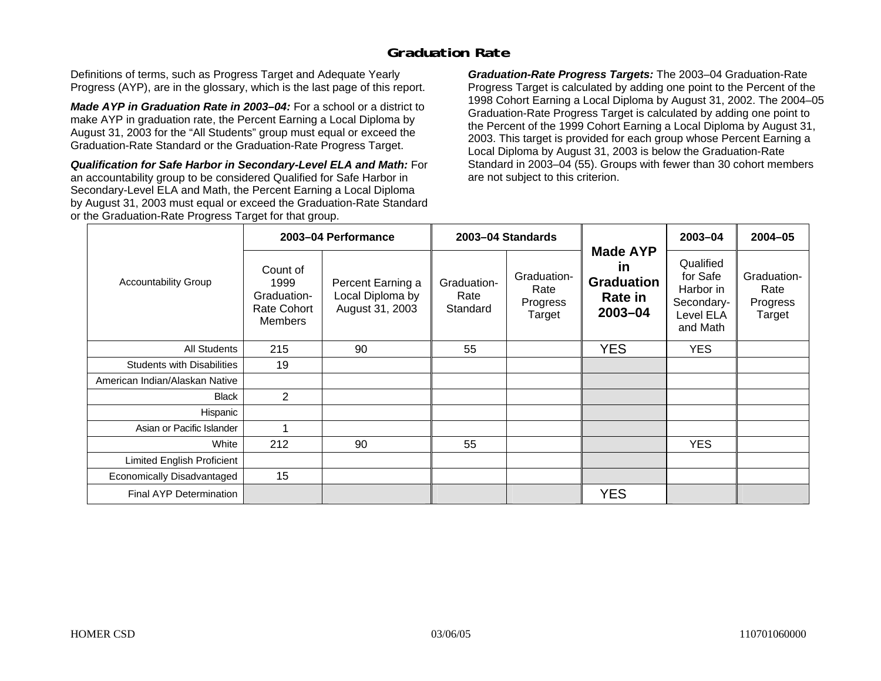### **Graduation Rate**

Definitions of terms, such as Progress Target and Adequate Yearly Progress (AYP), are in the glossary, which is the last page of this report.

*Made AYP in Graduation Rate in 2003–04:* For a school or a district to make AYP in graduation rate, the Percent Earning a Local Diploma by August 31, 2003 for the "All Students" group must equal or exceed the Graduation-Rate Standard or the Graduation-Rate Progress Target.

*Qualification for Safe Harbor in Secondary-Level ELA and Math:* For an accountability group to be considered Qualified for Safe Harbor in Secondary-Level ELA and Math, the Percent Earning a Local Diploma by August 31, 2003 must equal or exceed the Graduation-Rate Standard or the Graduation-Rate Progress Target for that group.

*Graduation-Rate Progress Targets:* The 2003–04 Graduation-Rate Progress Target is calculated by adding one point to the Percent of the 1998 Cohort Earning a Local Diploma by August 31, 2002. The 2004–05 Graduation-Rate Progress Target is calculated by adding one point to the Percent of the 1999 Cohort Earning a Local Diploma by August 31, 2003. This target is provided for each group whose Percent Earning a Local Diploma by August 31, 2003 is below the Graduation-Rate Standard in 2003–04 (55). Groups with fewer than 30 cohort members are not subject to this criterion.

|                                   |                                                                  | 2003-04 Performance                                      |                                 | 2003-04 Standards                         |                                                                         | 2003-04                                                                   | $2004 - 05$                               |
|-----------------------------------|------------------------------------------------------------------|----------------------------------------------------------|---------------------------------|-------------------------------------------|-------------------------------------------------------------------------|---------------------------------------------------------------------------|-------------------------------------------|
| <b>Accountability Group</b>       | Count of<br>1999<br>Graduation-<br>Rate Cohort<br><b>Members</b> | Percent Earning a<br>Local Diploma by<br>August 31, 2003 | Graduation-<br>Rate<br>Standard | Graduation-<br>Rate<br>Progress<br>Target | <b>Made AYP</b><br><u>in</u><br><b>Graduation</b><br>Rate in<br>2003-04 | Qualified<br>for Safe<br>Harbor in<br>Secondary-<br>Level ELA<br>and Math | Graduation-<br>Rate<br>Progress<br>Target |
| All Students                      | 215                                                              | 90                                                       | 55                              |                                           | <b>YES</b>                                                              | <b>YES</b>                                                                |                                           |
| <b>Students with Disabilities</b> | 19                                                               |                                                          |                                 |                                           |                                                                         |                                                                           |                                           |
| American Indian/Alaskan Native    |                                                                  |                                                          |                                 |                                           |                                                                         |                                                                           |                                           |
| <b>Black</b>                      | $\overline{2}$                                                   |                                                          |                                 |                                           |                                                                         |                                                                           |                                           |
| Hispanic                          |                                                                  |                                                          |                                 |                                           |                                                                         |                                                                           |                                           |
| Asian or Pacific Islander         |                                                                  |                                                          |                                 |                                           |                                                                         |                                                                           |                                           |
| White                             | 212                                                              | 90                                                       | 55                              |                                           |                                                                         | <b>YES</b>                                                                |                                           |
| Limited English Proficient        |                                                                  |                                                          |                                 |                                           |                                                                         |                                                                           |                                           |
| Economically Disadvantaged        | 15                                                               |                                                          |                                 |                                           |                                                                         |                                                                           |                                           |
| <b>Final AYP Determination</b>    |                                                                  |                                                          |                                 |                                           | <b>YES</b>                                                              |                                                                           |                                           |